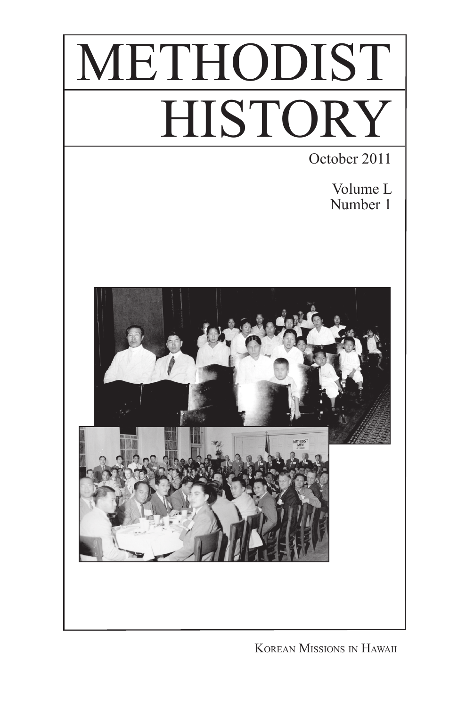

Korean Missions in Hawaii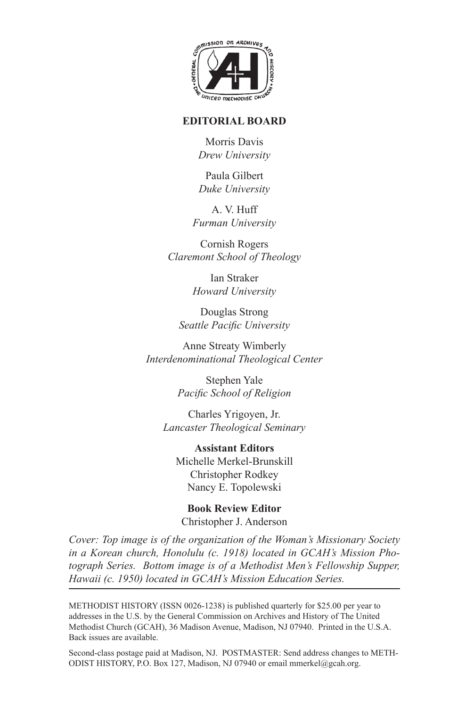

## **EDITORIAL BOARD**

Morris Davis *Drew University*

Paula Gilbert *Duke University*

A. V. Huff *Furman University*

Cornish Rogers *Claremont School of Theology*

> Ian Straker *Howard University*

Douglas Strong *Seattle Pacific University*

Anne Streaty Wimberly *Interdenominational Theological Center*

> Stephen Yale *Pacific School of Religion*

Charles Yrigoyen, Jr. *Lancaster Theological Seminary*

**Assistant Editors** Michelle Merkel-Brunskill Christopher Rodkey Nancy E. Topolewski

**Book Review Editor** Christopher J. Anderson

*Cover: Top image is of the organization of the Woman's Missionary Society in a Korean church, Honolulu (c. 1918) located in GCAH's Mission Photograph Series. Bottom image is of a Methodist Men's Fellowship Supper, Hawaii (c. 1950) located in GCAH's Mission Education Series.*

METHODIST HISTORY (ISSN 0026-1238) is published quarterly for \$25.00 per year to addresses in the U.S. by the General Commission on Archives and History of The United Methodist Church (GCAH), 36 Madison Avenue, Madison, NJ 07940. Printed in the U.S.A. Back issues are available.

Second-class postage paid at Madison, NJ. POSTMASTER: Send address changes to METH-ODIST HISTORY, P.O. Box 127, Madison, NJ 07940 or email mmerkel@gcah.org.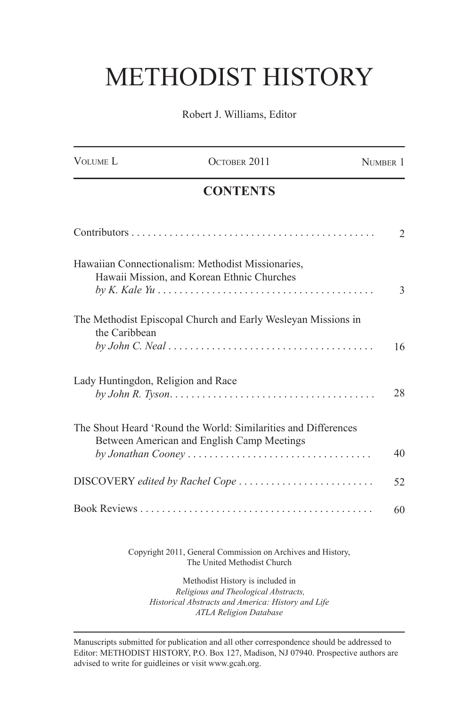## METHODIST HISTORY

Robert J. Williams, Editor

| <b>VOLUME L</b>                    | OCTOBER 2011                                                                                                                                                    | NUMBER 1       |
|------------------------------------|-----------------------------------------------------------------------------------------------------------------------------------------------------------------|----------------|
| <b>CONTENTS</b>                    |                                                                                                                                                                 |                |
|                                    |                                                                                                                                                                 | $\overline{2}$ |
|                                    | Hawaiian Connectionalism: Methodist Missionaries,<br>Hawaii Mission, and Korean Ethnic Churches                                                                 | 3              |
| the Caribbean                      | The Methodist Episcopal Church and Early Wesleyan Missions in<br>$by John C. Neal \ldots \ldots \ldots \ldots \ldots \ldots \ldots \ldots \ldots \ldots$        | 16             |
| Lady Huntingdon, Religion and Race |                                                                                                                                                                 | 28             |
|                                    | The Shout Heard 'Round the World: Similarities and Differences<br>Between American and English Camp Meetings                                                    | 40             |
|                                    | DISCOVERY edited by Rachel Cope                                                                                                                                 | 52             |
|                                    |                                                                                                                                                                 | 60             |
|                                    | Copyright 2011, General Commission on Archives and History,<br>The United Methodist Church                                                                      |                |
|                                    | Methodist History is included in<br>Religious and Theological Abstracts,<br>Historical Abstracts and America: History and Life<br><b>ATLA Religion Database</b> |                |

Manuscripts submitted for publication and all other correspondence should be addressed to Editor: METHODIST HISTORY, P.O. Box 127, Madison, NJ 07940. Prospective authors are advised to write for guidleines or visit www.gcah.org.